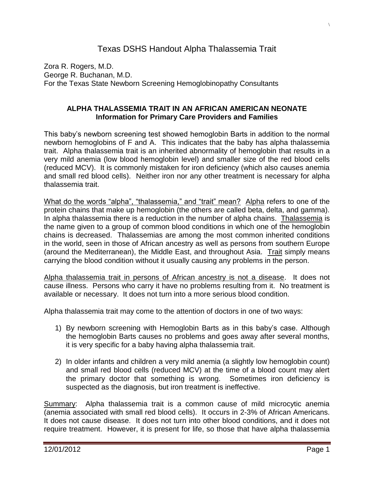## Texas DSHS Handout Alpha Thalassemia Trait

Zora R. Rogers, M.D. George R. Buchanan, M.D. For the Texas State Newborn Screening Hemoglobinopathy Consultants

## **ALPHA THALASSEMIA TRAIT IN AN AFRICAN AMERICAN NEONATE Information for Primary Care Providers and Families**

This baby's newborn screening test showed hemoglobin Barts in addition to the normal newborn hemoglobins of F and A. This indicates that the baby has alpha thalassemia trait. Alpha thalassemia trait is an inherited abnormality of hemoglobin that results in a very mild anemia (low blood hemoglobin level) and smaller size of the red blood cells (reduced MCV). It is commonly mistaken for iron deficiency (which also causes anemia and small red blood cells). Neither iron nor any other treatment is necessary for alpha thalassemia trait.

What do the words "alpha", "thalassemia," and "trait" mean? Alpha refers to one of the protein chains that make up hemoglobin (the others are called beta, delta, and gamma). In alpha thalassemia there is a reduction in the number of alpha chains. Thalassemia is the name given to a group of common blood conditions in which one of the hemoglobin chains is decreased. Thalassemias are among the most common inherited conditions in the world, seen in those of African ancestry as well as persons from southern Europe (around the Mediterranean), the Middle East, and throughout Asia. Trait simply means carrying the blood condition without it usually causing any problems in the person.

Alpha thalassemia trait in persons of African ancestry is not a disease. It does not cause illness. Persons who carry it have no problems resulting from it. No treatment is available or necessary. It does not turn into a more serious blood condition.

Alpha thalassemia trait may come to the attention of doctors in one of two ways:

- 1) By newborn screening with Hemoglobin Barts as in this baby's case. Although the hemoglobin Barts causes no problems and goes away after several months, it is very specific for a baby having alpha thalassemia trait.
- 2) In older infants and children a very mild anemia (a slightly low hemoglobin count) and small red blood cells (reduced MCV) at the time of a blood count may alert the primary doctor that something is wrong. Sometimes iron deficiency is suspected as the diagnosis, but iron treatment is ineffective.

Summary: Alpha thalassemia trait is a common cause of mild microcytic anemia (anemia associated with small red blood cells). It occurs in 2-3% of African Americans. It does not cause disease. It does not turn into other blood conditions, and it does not require treatment. However, it is present for life, so those that have alpha thalassemia